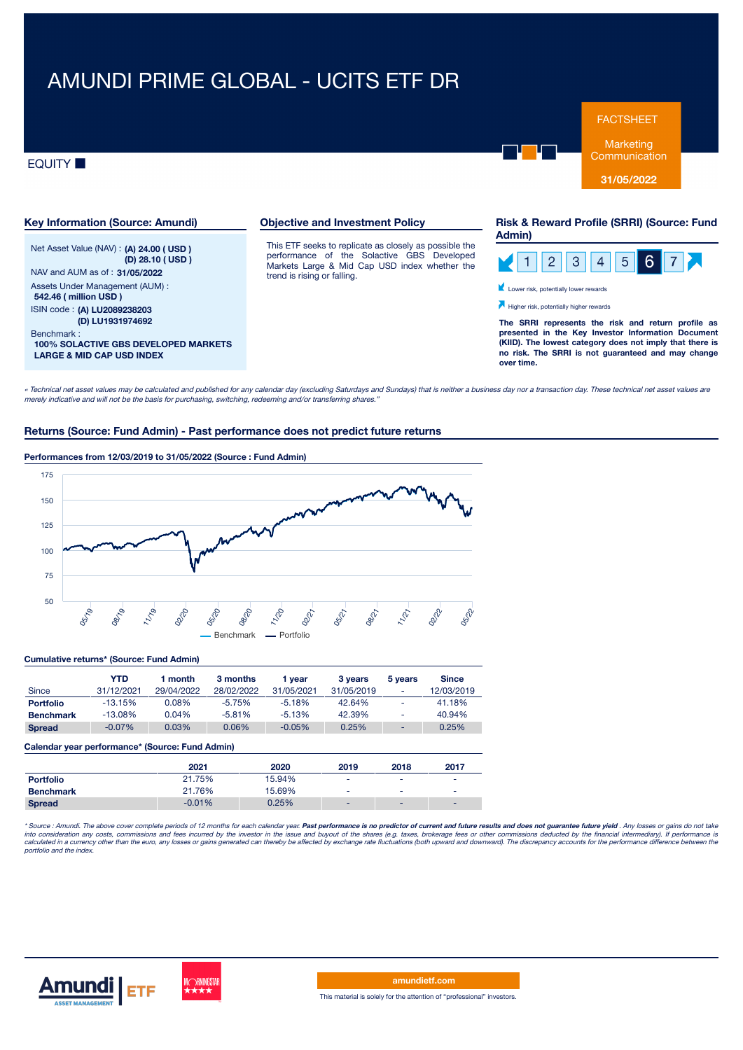# AMUNDI PRIME GLOBAL - UCITS ETF DR

## **EQUITY**



**Communication** 

**31/05/2022**



« Technical net asset values may be calculated and published for any calendar day (excluding Saturdays and Sundays) that is neither <sup>a</sup> business day nor <sup>a</sup> transaction day. These technical net asset values are merely indicative and will not be the basis for purchasing, switching, redeeming and/or transferring shares."

## **Returns (Source: Fund Admin) - Past performance does not predict future returns**

## **Performances from 12/03/2019 to 31/05/2022 (Source : Fund Admin)**



#### **Cumulative returns\* (Source: Fund Admin)**

| Since            | YTD<br>31/12/2021 | ∣ month<br>29/04/2022 | 3 months<br>28/02/2022 | 1 vear<br>31/05/2021 | 3 years<br>31/05/2019 | 5 years<br>۰ | <b>Since</b><br>12/03/2019 |
|------------------|-------------------|-----------------------|------------------------|----------------------|-----------------------|--------------|----------------------------|
| <b>Portfolio</b> | $-13.15%$         | $0.08\%$              | $-5.75%$               | $-5.18%$             | 42.64%                | ٠            | 41.18%                     |
| <b>Benchmark</b> | $-13.08\%$        | 0.04%                 | $-5.81%$               | $-5.13%$             | 42.39%                | ۰            | 40.94%                     |
| <b>Spread</b>    | $-0.07\%$         | 0.03%                 | 0.06%                  | $-0.05%$             | 0.25%                 |              | 0.25%                      |

#### **Calendar year performance\* (Source: Fund Admin)**

|                  | 2021     | 2020   | 2019                     | 2018                     | 2017                     |
|------------------|----------|--------|--------------------------|--------------------------|--------------------------|
| <b>Portfolio</b> | 21.75%   | 15.94% | $\overline{\phantom{a}}$ | $\overline{\phantom{a}}$ |                          |
| <b>Benchmark</b> | 21.76%   | 15.69% | $\overline{\phantom{a}}$ | ۰                        | $\overline{\phantom{a}}$ |
| <b>Spread</b>    | $-0.01%$ | 0.25%  | $\overline{\phantom{a}}$ |                          |                          |

\* Source : Amundi. The above cover complete periods of 12 months for each calendar year. **Past performance is no predictor of current and future results and does not guarantee future yield . Any losses or gains do not take** into consideration any costs, commissions and fees incurred by the investor in the issue and buyout of the shares (e.g. taxes, brokerage fees or other commissions deducted by the financial intermediary). If performance is<br>



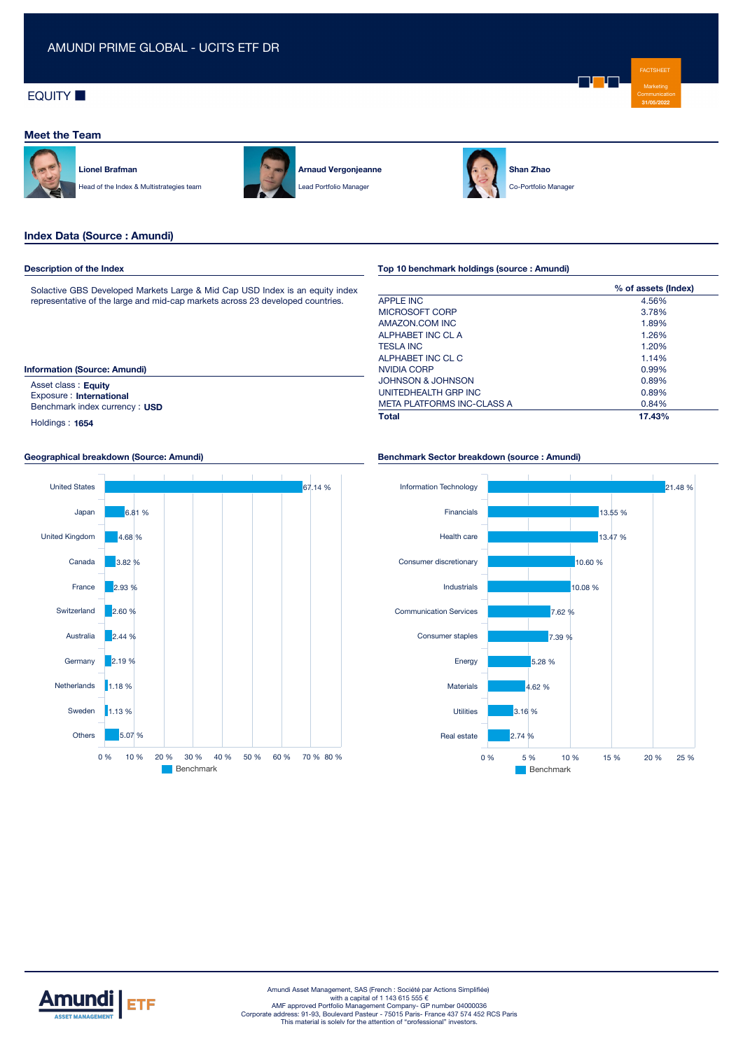# **EQUITY**

## **Meet the Team**



**Lionel Brafman** Head of the Index & Multistrategies team



**Arnaud Vergonjeanne** Lead Portfolio Manager



**Shan Zhao** Co-Portfolio Manager

## **Index Data (Source : Amundi)**

#### **Description of the Index**

Solactive GBS Developed Markets Large & Mid Cap USD Index is an equity index representative of the large and mid-cap markets across 23 developed countries.

#### **Information (Source: Amundi)**

Asset class : **Equity** Exposure : **International** Benchmark index currency : **USD**

Holdings : **1654**

#### **Geographical breakdown (Source: Amundi)**



## **Top 10 benchmark holdings (source : Amundi)**

|                                   | % of assets (Index) |
|-----------------------------------|---------------------|
| <b>APPLE INC</b>                  | 4.56%               |
| MICROSOFT CORP                    | 3.78%               |
| AMAZON.COM INC                    | 1.89%               |
| ALPHABET INC CL A                 | 1.26%               |
| <b>TESLA INC</b>                  | 1.20%               |
| ALPHABET INC CL C                 | 1.14%               |
| NVIDIA CORP                       | 0.99%               |
| JOHNSON & JOHNSON                 | 0.89%               |
| UNITEDHEALTH GRP INC              | 0.89%               |
| <b>META PLATFORMS INC-CLASS A</b> | 0.84%               |
| <b>Total</b>                      | 17.43%              |

#### **Benchmark Sector breakdown (source : Amundi)**





FACTSHEET Marketing **31/05/2022**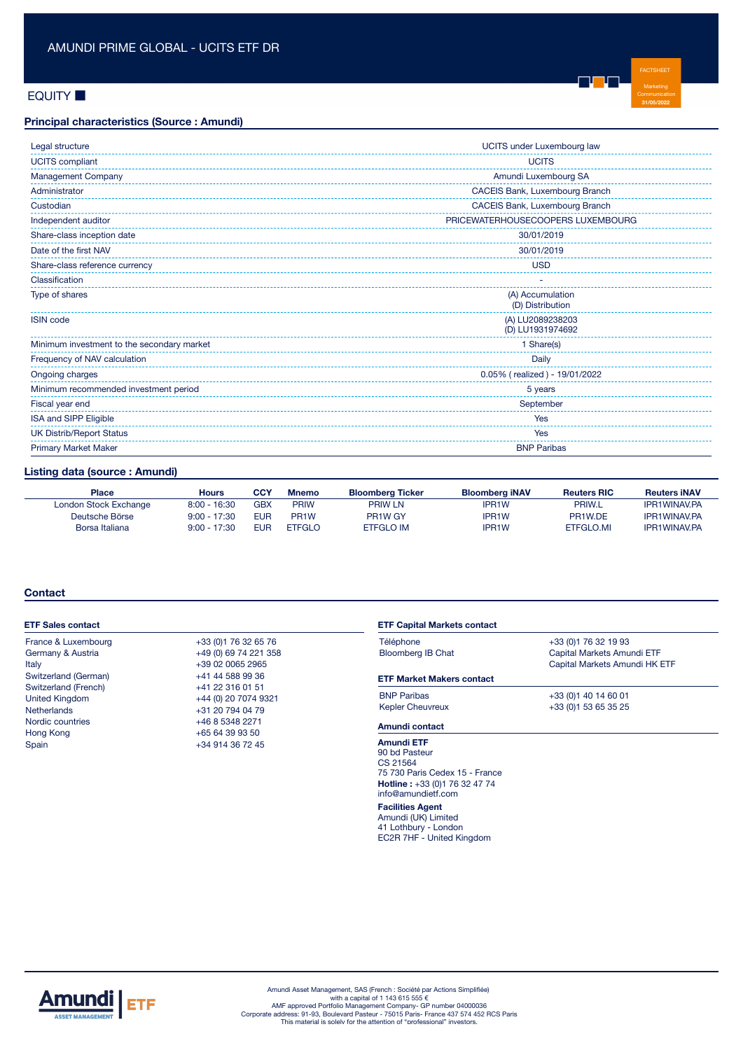# **EQUITY**

## **Principal characteristics (Source : Amundi)**

| Legal structure                            | UCITS under Luxembourg law           |  |  |
|--------------------------------------------|--------------------------------------|--|--|
| <b>UCITS</b> compliant                     | <b>UCITS</b>                         |  |  |
| Management Company                         | Amundi Luxembourg SA                 |  |  |
| Administrator                              | CACEIS Bank, Luxembourg Branch       |  |  |
| Custodian                                  | CACEIS Bank, Luxembourg Branch       |  |  |
| Independent auditor                        | PRICEWATERHOUSECOOPERS LUXEMBOURG    |  |  |
| Share-class inception date                 | 30/01/2019                           |  |  |
| Date of the first NAV                      | 30/01/2019                           |  |  |
| Share-class reference currency             | <b>USD</b>                           |  |  |
| Classification                             |                                      |  |  |
| Type of shares                             | (A) Accumulation<br>(D) Distribution |  |  |
| <b>ISIN</b> code                           | (A) LU2089238203<br>(D) LU1931974692 |  |  |
| Minimum investment to the secondary market | 1 Share(s)                           |  |  |
| Frequency of NAV calculation               | Daily                                |  |  |
| Ongoing charges                            | 0.05% (realized) - 19/01/2022        |  |  |
| Minimum recommended investment period      | 5 years                              |  |  |
| Fiscal year end                            | September                            |  |  |
| ISA and SIPP Eligible                      | Yes                                  |  |  |
| <b>UK Distrib/Report Status</b>            | Yes                                  |  |  |
| <b>Primary Market Maker</b>                | <b>BNP Paribas</b>                   |  |  |

FACTSHEET Marketing **31/05/2022**

n <mark>u</mark> n pr

# **Listing data (source : Amundi)**

| <b>Place</b>          | <b>Hours</b>   | CCY | <b>Mnemo</b>      | <b>Bloomberg Ticker</b>         | <b>Bloomberg iNAV</b> | <b>Reuters RIC</b> | <b>Reuters INAV</b> |
|-----------------------|----------------|-----|-------------------|---------------------------------|-----------------------|--------------------|---------------------|
| London Stock Exchange | $8:00 - 16:30$ | GBX | PRIW              | <b>PRIW LN</b>                  | <b>IPR1W</b>          | <b>PRIW.L</b>      | <b>IPR1WINAV.PA</b> |
| Deutsche Börse        | $9:00 - 17:30$ | EUR | PR <sub>1</sub> W | PR <sub>1</sub> W <sub>GY</sub> | IPR <sub>1</sub> W    | PR1W.DE            | <b>IPR1WINAV.PA</b> |
| Borsa Italiana        | $9:00 - 17:30$ | EUR | <b>ETFGLO</b>     | <b>ETFGLO IM</b>                | IPR <sub>1</sub> W    | ETFGLO.MI          | <b>IPR1WINAV.PA</b> |

## **Contact**

| <b>ETF Sales contact</b>                                                                                                                                                                                                                                                            |                                               | <b>ETF Capital Markets contact</b>                                                                                        |                               |  |  |
|-------------------------------------------------------------------------------------------------------------------------------------------------------------------------------------------------------------------------------------------------------------------------------------|-----------------------------------------------|---------------------------------------------------------------------------------------------------------------------------|-------------------------------|--|--|
| France & Luxembourg                                                                                                                                                                                                                                                                 | +33 (0) 1 76 32 65 76                         | Téléphone                                                                                                                 | +33 (0) 1 76 32 19 93         |  |  |
| Germany & Austria<br>+49 (0) 69 74 221 358<br>+39 02 0065 2965<br>Italy                                                                                                                                                                                                             |                                               | <b>Bloomberg IB Chat</b>                                                                                                  | Capital Markets Amundi ETF    |  |  |
|                                                                                                                                                                                                                                                                                     |                                               |                                                                                                                           | Capital Markets Amundi HK ETF |  |  |
| Switzerland (German)<br>+41 44 588 99 36<br>Switzerland (French)<br>+41 22 316 01 51<br><b>United Kingdom</b><br>+44 (0) 20 7074 9321<br><b>Netherlands</b><br>+31 20 794 04 79<br>Nordic countries<br>+46 8 5348 2271<br>Hong Kong<br>+65 64 39 93 50<br>Spain<br>+34 914 36 72 45 | <b>ETF Market Makers contact</b>              |                                                                                                                           |                               |  |  |
|                                                                                                                                                                                                                                                                                     | <b>BNP Paribas</b><br><b>Kepler Cheuvreux</b> | +33 (0) 1 40 14 60 01<br>+33 (0) 1 53 65 35 25                                                                            |                               |  |  |
|                                                                                                                                                                                                                                                                                     | Amundi contact                                |                                                                                                                           |                               |  |  |
|                                                                                                                                                                                                                                                                                     |                                               | <b>Amundi ETF</b><br>90 bd Pasteur<br>CS 21564<br>75 730 Paris Cedex 15 - France<br><b>Hotling</b> $+433/001$ 76 39 47 74 |                               |  |  |

**Hotline :** +33 (0)1 76 32 47 74 info@amundietf.com **Facilities Agent** Amundi (UK) Limited 41 Lothbury - London EC2R 7HF - United Kingdom